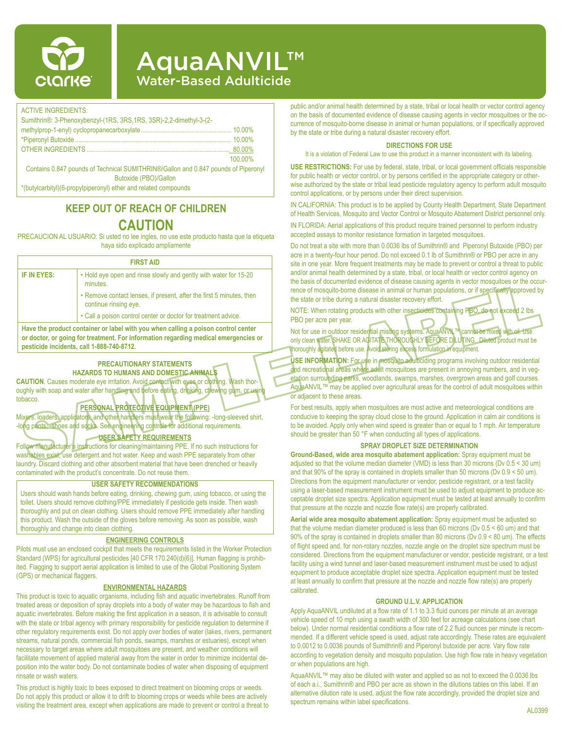

# **AquaANVIL™** Water-Based Adulticide

#### ACTIVE INGREDIENTS:

| Sumithrin®: 3-Phenoxybenzyl-(1RS, 3RS, 1RS, 3SR)-2,2-dimethyl-3-(2-                |         |
|------------------------------------------------------------------------------------|---------|
|                                                                                    |         |
|                                                                                    |         |
|                                                                                    |         |
|                                                                                    | 100 00% |
| Contains 0.847 pounds of Technical SUMITHRIN®/Gallon and 0.847 pounds of Piperonyl |         |
| Butoxide (PBO)/Gallon                                                              |         |

\*(butylcarbityl)(6-propylpiperonyl) ether and related compounds

# **KEEP OUT OF REACH OF CHILDREN CAUTION**

PRECAUCION AL USUARIO: Si usted no lee ingles, no use este producto hasta que la etiqueta haya sido explicado ampliamente

| <b>FIRST AID</b> |                                                                                                                                                                          |  |  |  |  |
|------------------|--------------------------------------------------------------------------------------------------------------------------------------------------------------------------|--|--|--|--|
| IF IN EYES:      | • Hold eye open and rinse slowly and gently with water for 15-20<br>minutes.                                                                                             |  |  |  |  |
|                  | • Remove contact lenses, if present, after the first 5 minutes, then<br>continue rinsing eye.                                                                            |  |  |  |  |
|                  | • Call a poison control center or doctor for treatment advice.                                                                                                           |  |  |  |  |
|                  | Have the product container or label with you when calling a poison control center<br>or doctor, or going for treatment. For information regarding medical emergencies or |  |  |  |  |

**or doctor, or going for treatment. For information regarding medical emergencies or pesticide incidents, call 1-888-740-8712.**

### **PRECAUTIONARY STATEMENTS HAZARDS TO HUMANS AND DOMESTIC ANIMALS**

**CAUTION**. Causes moderate eye irritation. Avoid contact with eyes or clothing. Wash thoroughly with soap and water after handling and before eating, drinking, chewing gum, or usi tobacco.

### **PERSONAL PROTECTIVE EQUIPMENT (PPE)**

Mixers, loaders, applicators, and other handlers must wear the following: -long-sleeved shirt, -long pants, -shoes and socks. See engineering controls for additional requirements.

## **USER SAFETY REQUIREMENTS**

Follow manufacturer's instructions for cleaning/maintaining PPE. If no such instructions for washables exist, use detergent and hot water. Keep and wash PPE separately from other laundry. Discard clothing and other absorbent material that have been drenched or heavily contaminated with the product's concentrate. Do not reuse them.

#### **USER SAFETY RECOMMENDATIONS**

Users should wash hands before eating, drinking, chewing gum, using tobacco, or using the toilet. Users should remove clothing/PPE immediately if pesticide gets inside. Then wash thoroughly and put on clean clothing. Users should remove PPE immediately after handling this product. Wash the outside of the gloves before removing. As soon as possible, wash thoroughly and change into clean clothing.

#### **ENGINEERING CONTROLS**

Pilots must use an enclosed cockpit that meets the requirements listed in the Worker Protection Standard (WPS) for agricultural pesticides [40 CFR 170.240(d)(6)]. Human flagging is prohibited. Flagging to support aerial application is limited to use of the Global Positioning System (GPS) or mechanical flaggers.

#### **ENVIRONMENTAL HAZARDS**

This product is toxic to aquatic organisms, including fish and aquatic invertebrates. Runoff from treated areas or deposition of spray droplets into a body of water may be hazardous to fish and aquatic invertebrates. Before making the first application in a season, it is advisable to consult with the state or tribal agency with primary responsibility for pesticide regulation to determine if other regulatory requirements exist. Do not apply over bodies of water (lakes, rivers, permanent streams, natural ponds, commercial fish ponds, swamps, marshes or estuaries), except when necessary to target areas where adult mosquitoes are present, and weather conditions will facilitate movement of applied material away from the water in order to minimize incidental deposition into the water body. Do not contaminate bodies of water when disposing of equipment rinsate or wash waters.

This product is highly toxic to bees exposed to direct treatment on blooming crops or weeds. Do not apply this product or allow it to drift to blooming crops or weeds while bees are actively visiting the treatment area, except when applications are made to prevent or control a threat to public and/or animal health determined by a state, tribal or local health or vector control agency on the basis of documented evidence of disease causing agents in vector mosquitoes or the occurrence of mosquito-borne disease in animal or human populations, or if specifically approved by the state or tribe during a natural disaster recovery effort.

#### **DIRECTIONS FOR USE**

It is a violation of Federal Law to use this product in a manner inconsistent with its labeling.

**USE RESTRICTIONS:** For use by federal, state, tribal, or local government officials responsible for public health or vector control, or by persons certified in the appropriate category or otherwise authorized by the state or tribal lead pesticide regulatory agency to perform adult mosquito control applications, or by persons under their direct supervision.

IN CALIFORNIA: This product is to be applied by County Health Department, State Department of Health Services, Mosquito and Vector Control or Mosquito Abatement District personnel only.

IN FLORIDA: Aerial applications of this product require trained personnel to perform industry accepted assays to monitor resistance formation in targeted mosquitoes.

Do not treat a site with more than 0.0036 lbs of Sumithrin® and Piperonyl Butoxide (PBO) per acre in a twenty-four hour period. Do not exceed 0.1 lb of Sumithrin® or PBO per acre in any site in one year. More frequent treatments may be made to prevent or control a threat to public and/or animal health determined by a state, tribal, or local health or vector control agency on the basis of documented evidence of disease causing agents in vector mosquitoes or the occurrence of mosquito-borne disease in animal or human populations, or if specifically approved by the state or tribe during a natural disaster recovery effort.

NOTE: When rotating products with other insecticides containing PBO, do not exceed 2 lbs PBO per acre per year.

Not for use in outdoor residential misting systems. AquaANVIL™ cannot be mixed with oil. Use only clean water. SHAKE OR AGITATE THOROUGHLY BEFORE DILUTING. Diluted product must be thoroughly agitated before use. Avoid storing excess formulation in equipment.

**USE INFORMATION:** For use in mosquito adulticiding programs involving outdoor residential and recreational areas where adult mosquitoes are present in annoying numbers, and in vegetation surrounding parks, woodlands, swamps, marshes, overgrown areas and golf courses. AquaANVIL™ may be applied over agricultural areas for the control of adult mosquitoes within or adjacent to these areas.

For best results, apply when mosquitoes are most active and meteorological conditions are conducive to keeping the spray cloud close to the ground. Application in calm air conditions is to be avoided. Apply only when wind speed is greater than or equal to 1 mph. Air temperature should be greater than 50 °F when conducting all types of applications.

#### **SPRAY DROPLET SIZE DETERMINATION**

**Ground-Based, wide area mosquito abatement application:** Spray equipment must be adjusted so that the volume median diameter (VMD) is less than 30 microns (Dv 0.5 < 30 um) and that 90% of the spray is contained in droplets smaller than 50 microns (Dv 0.9 < 50 um). Directions from the equipment manufacturer or vendor, pesticide registrant, or a test facility using a laser-based measurement instrument must be used to adjust equipment to produce acceptable droplet size spectra. Application equipment must be tested at least annually to confirm that pressure at the nozzle and nozzle flow rate(s) are properly calibrated.

**Aerial wide area mosquito abatement application:** Spray equipment must be adjusted so that the volume median diameter produced is less than 60 microns (Dv 0.5 < 60 um) and that 90% of the spray is contained in droplets smaller than 80 microns (Dv 0.9 < 80 um). The effects of flight speed and, for non-rotary nozzles, nozzle angle on the droplet size spectrum must be considered. Directions from the equipment manufacturer or vendor, pesticide registrant, or a test facility using a wind tunnel and laser-based measurement instrument must be used to adjust equipment to produce acceptable droplet size spectra. Application equipment must be tested at least annually to confirm that pressure at the nozzle and nozzle flow rate(s) are properly calibrated.

#### **GROUND U.L.V. APPLICATION**

Apply AquaANVIL undiluted at a flow rate of 1.1 to 3.3 fluid ounces per minute at an average vehicle speed of 10 mph using a swath width of 300 feet for acreage calculations (see chart below). Under normal residential conditions a flow rate of 2.2 fluid ounces per minute is recommended. If a different vehicle speed is used, adjust rate accordingly. These rates are equivalent to 0.0012 to 0.0036 pounds of Sumithrin® and Piperonyl butoxide per acre. Vary flow rate according to vegetation density and mosquito population. Use high flow rate in heavy vegetation or when populations are high.

AquaANVIL™ may also be diluted with water and applied so as not to exceed the 0.0036 lbs of each a.i., Sumithrin® and PBO per acre as shown in the dilutions tables on this label. If an alternative dilution rate is used, adjust the flow rate accordingly, provided the droplet size and spectrum remains within label specifications.